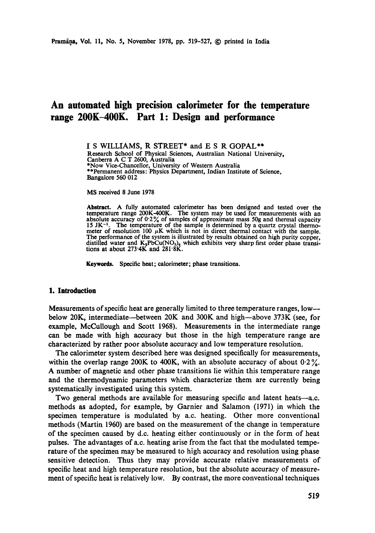# **An automated high precision calorimeter for the temperature range 200K-400K. Part 1: Design and performance**

I S WILLIAMS, R STREET\* and E S R GOPAL\*\* Research School of Physical Sciences, Australian National University, Canberra A C T 2600, Australia \*Now Vice-Chancellor, University of Western Australia \*\*Permanent address: Physics Department, Indian Institute of Science, Bangalore 560 012

MS received 8 June 1978

Abstract. A fully automated calorimeter has been designed and tested over **the**  temperature range 200K-400K. The system may be used for measurements with an absolute accuracy of  $0.2\%$  of samples of approximate mass 50g and thermal capacity  $15 \text{ JK}^{-1}$ . The temperature of the sample is determined by a quartz crystal thermometer of resolution 100  $\mu$ K which is not in direct thermal contact with the sample. The performance of the system is illustrated by results obtained on high purity copper, distilled water and  $K_2PbCu(NO_2)$  which exhibits very sharp first order phase transi-<br>tions at about 273 4K and 281 8K.

**Keywords. Specific heat; calorimeter; phase transitions.** 

## **1. Introduction**

Measurements of specific heat are generally limited to three temperature ranges, low- below 20K, intermediate--between 20K and 300K and high--above 373K (see, for example, McCuUough and Scott 1968). Measurements in the intermediate range can be made with high accuracy but those in the high temperature range are characterized by rather poor absolute accuracy and low temperature resolution.

The calorimeter system described here was designed specifically for measurements, within the overlap range 200K to 400K, with an absolute accuracy of about  $0.2\%$ . A number of magnetic and other phase transitions lie within this temperature range and the thermodynamic parameters which characterize them are currently being systematically investigated using this system.

Two general methods are available for measuring specific and latent heats—a.c. methods as adopted, for example, by Garnier and Salamon (1971) in which the specimen temperature is modulated by a.c. heating. Other more conventional methods (Martin 1960) are based on the measurement of the change in temperature of the specimen caused by d.c. heating either continuously or in the form of heat pulses. The advantages of a.e. heating arise from the fact that the modulated temperature of the specimen may be measured to high accuracy and resolution using phase sensitive detection. Thus they may provide accurate relative measurements of specific heat and high temperature resolution, but the absolute accuracy of measurement of specific heat is relatively low. By contrast, the more conventional techniques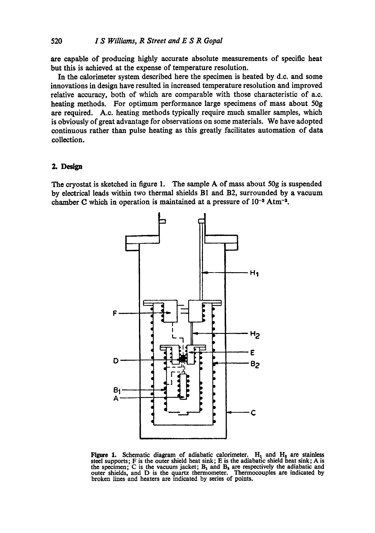are capable of producing highly accurate absolute measurements of specific heat but this is achieved at the expense of temperature resolution.

In the calorimeter system described here the specimen is heated by d.c. and some innovations in design have resulted in increased temperature resolution and improved relative accuracy, both of which are comparable with those characteristic of a.c. heating methods. For optimum performance large specimens of mass about 50g are required. A.c. heating methods typically require much smaller samples, which is obviously of great advantage for observations on some materials. We have adopted continuous rather than pulse heating as this greatly facilitates automation of data collection.

## **2. Design**

The cryostat is sketched in figure 1. The sample A of mass about 50g is suspended by electrical leads within two thermal shields B1 and B2, surrounded by a vacuum chamber C which in operation is maintained at a pressure of  $10^{-3}$  Atm<sup>-2</sup>.



**Figure 1.** Schematic diagram of adiabatic calorimeter.  $H_1$  and  $H_2$  are stainless steel supports; F is the outer shield heat sink; E is the adiabatic shield heat sink; A is the specimen; C is the vacuum jacket;  $B_1$  and  $B_2$  are respectively the adiabatic and outer shields, and D is the quartz thermometer. Thermocouples arc indicated by broken lines and heaters are indicated by series of points.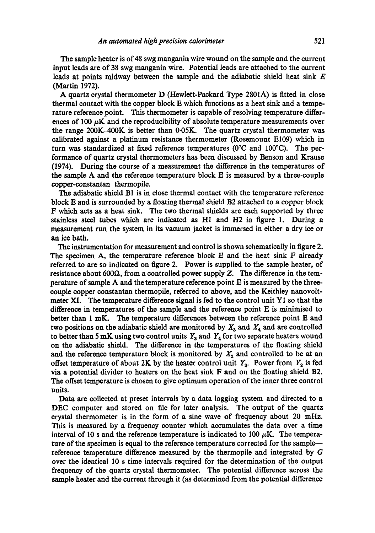The sample heater is of 48 swg manganin wire wound on the sample and the current input leads are of 38 swg manganin wire. Potential leads are attached to the current leads at points midway between the sample and the adiabatic shield heat sink  $E$ (Martin 1972).

A quartz crystal thermometer D (Hewlett-Packard Type 2801A) is fitted in close thermal contact with the copper block E which functions as a heat sink and a temperature reference point. This thermometer is capable of resolving temperature differences of 100  $\mu$ K and the reproducibility of absolute temperature measurements over the range  $200K-400K$  is better than  $0.05K$ . The quartz crystal thermometer was calibrated against a platinum resistance thermometer (Rosemount El09) which in turn was standardized at fixed reference temperatures ( $0^{\circ}$ C and  $100^{\circ}$ C). The performance of quartz crystal thermometers has been discussed by Benson and Kranse (1974). During the course of a measurement the difference in the temperatures of the sample A and the reference temperature block E is measured by a three-couple copper-constantan thermopile.

The adiabatic shield B1 is in close thermal contact with the temperature reference block E and is surrounded by a floating thermal shield B2 attached to a copper block F which acts as a heat sink. The two thermal shields are each supported by three stainless steel tubes which are indicated as  $H1$  and  $H2$  in figure 1. During a measurement run the system in its vacuum jacket is immersed in either a dry ice or an ice bath.

The instrumentation for measurement and control is shown schematically in figure 2. The specimen A, the temperature reference block E and the heat sink F already referred to are so indicated on figure 2. Power is supplied to the sample heater, of resistance about 600 $\Omega$ , from a controlled power supply Z. The difference in the temperature of sample A and the temperature reference point E is measured by the threecouple copper eonstantan thermopile, referred to above, and the Keithley nanovoltmeter XI. The temperature difference signal is fed to the control unit Y1 so that the difference in temperatures of the sample and the reference point E is minimised to better than 1 mK. The temperature differences between the reference point E and two positions on the adiabatic shield are monitored by  $X_3$  and  $X_4$  and are controlled to better than 5 mK using two control units  $Y_3$  and  $Y_4$  for two separate heaters wound on the adiabatic shield. The difference in the temperatures of the floating shield and the reference temperature block is monitored by  $X_2$  and controlled to be at an offset temperature of about 2K by the heater control unit  $Y_2$ . Power from  $Y_2$  is fed via a potential divider to heaters on the heat sink F and on the floating shield B2. The offset temperature is chosen to give optimum operation of the inner three control units.

Data are collected at preset intervals by a data logging system and directed to a DEC computer and stored on file for later analysis. The output of the quartz crystal thermometer is in the form of a sine wave of frequency about 20 mHz. This is measured by a frequency counter which accumulates the data over a time interval of 10 s and the reference temperature is indicated to 100  $\mu$ K. The temperature of the specimen is equal to the reference temperature corrected for the sample reference temperature difference measured by the thermopile and integrated by G over the identical 10 s time intervals required for the determination of the output frequency of the quartz crystal thermometer. The potential difference across the sample heater and the current through it (as determined from the potential difference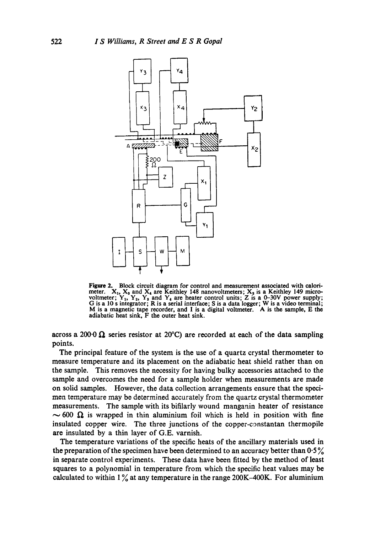

**Figure** 2. Block circuit diagram for control and measurement associated with calorimeter.  $X_1$ ,  $X_3$  and  $X_4$  are Keithley 148 nanovoltmeters;  $X_3$  is a Keithley 149 microvoltmeter;  $Y_1, Y_2, Y_3$  and  $Y_4$  are heater control units; Z is a 0-30V power supply; G is a 10 s integrator; R is a serial interface; S is a data logger; W is a video terminal; M is a magnetic tape recorder, and I is a digital voltmeter. A is the sample, E **the**  adiabatic heat sink, F the outer heat sink.

across a 200.0  $\Omega$  series resistor at 20°C) are recorded at each of the data sampling points.

The principal feature of the system is the use of a quartz crystal thermometer to measure temperature and its placement on the adiabatic heat shield rather than on the sample. This removes the necessity for having bulky accessories attached to the sample and overcomes the need for a sample holder when measurements are made on solid samples. However, the data collection arrangements ensure that the specimen temperature may be determined accurately from the quartz crystal thermometer measurements. The sample with its bifilarly wound manganin heater of resistance  $\sim$  600  $\Omega$  is wrapped in thin aluminium foil which is held in position with fine insulated copper wire. The three junctions of the copper-constantan thermopile are insulated by a thin layer of G.E. varnish.

The temperature variations of the specific heats of the ancillary materials used in the preparation of the specimen have been determined to an accuracy better than 0.5 % in separate control experiments. These data have been fitted by the method of least squares to a polynomial in temperature from which the specific heat values may be calculated to within  $1\%$  at any temperature in the range 200K-400K. For aluminium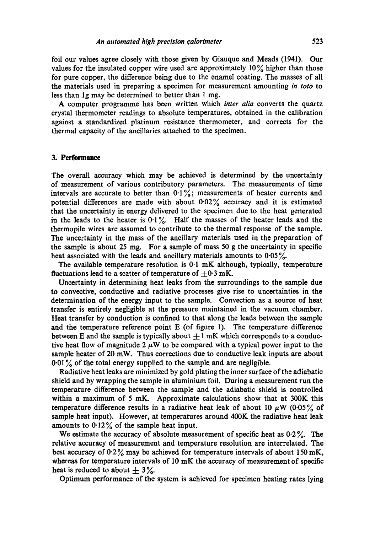foil our values agree closely with those given by Giauque and Meads (1941). Our values for the insulated copper wire used are approximately  $10\%$  higher than those for pure copper, the difference being due to the enamel coating. The masses of all the materials used in preparing a specimen for measurement amounting *in toto* to less than 1g may be determined to better than 1 mg.

A computer programme has been written which *inter alia* converts the quartz crystal thermometer readings to absolute temperatures, obtained in the calibration against a standardized platinum resistance thermometer, and corrects for the thermal capacity of the ancillaries attached to the specimen.

#### **3. Performance**

The overall accuracy which may be achieved is determined by the uncertainty of measurement of various contributory parameters. The measurements of time intervals are accurate to better than  $0.1\%$ ; measurements of heater currents and potential differences are made with about  $0.02\%$  accuracy and it is estimated that the uncertainty in energy delivered to the specimen due to the heat generated in the leads to the heater is  $0.1\%$ . Half the masses of the heater leads and the thermopile wires are assumed to contribute to the thermal response of the sample. The uncertainty in the mass of the ancillary materials used in the preparation of the sample is about 25 mg. For a sample of mass 50 g the uncertainty in specific heat associated with the leads and ancillary materials amounts to  $0.05\%$ .

The available temperature resolution is  $0.1 \text{ mK}$  although, typically, temperature fluctuations lead to a scatter of temperature of  $\pm 0.3$  mK.

Uncertainty in determining heat leaks from the surroundings to the sample due to convective, conductive and radiative processes give rise to uncertainties in the determination of the energy input to the sample. Convection as a source of heat transfer is entirely negligible at the pressure maintained in the vacuum chamber. Heat transfer by conduction is confined to that along the leads between the sample and the temperature reference point E (of figure 1). The temperature difference between E and the sample is typically about  $\pm 1$  mK which corresponds to a conductive heat flow of magnitude 2  $\mu$ W to be compared with a typical power input to the sample heater of 20 mW. Thus corrections due to conductive leak inputs are about 0.01% of the total energy supplied to the sample and are negligible.

Radiative heat leaks are minimized by gold plating the inner surface of the adiabatic shield and by wrapping the sample in aluminium foil. During a measurement run the temperature difference between the sample and the adiabatic shield is controlled within a maximum of 5 mK. Approximate calculations show that at  $300K$  this temperature difference results in a radiative heat leak of about 10  $\mu$ W (0.05% of sample heat input). However, at temperatures around 400K the radiative heat leak amounts to  $0.12\%$  of the sample heat input.

We estimate the accuracy of absolute measurement of specific heat as  $0.2\%$ . The relative accuracy of measurement and temperature resolution are interrelated. The best accuracy of  $0.2\%$  may be achieved for temperature intervals of about 150 mK, whereas for temperature intervals of 10 mK the accuracy of measurement of specific heat is reduced to about  $\pm$  3%.

Optimum performance of the system is achieved for specimen heating rates lying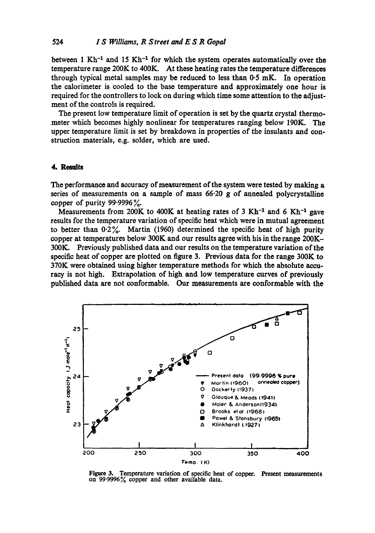between 1 Kh<sup>-1</sup> and 15 Kh<sup>-1</sup> for which the system operates automatically over the temperature range 200K to 400K. At these heating rates the temperature differences through typical metal samples may be reduced to less than  $0.5$  mK. In operation the calorimeter is cooled to the base temperature and approximately one hour is required for the controllers to lock on during which time some attention to the adjustment of the controls is required.

The present low temperature limit of operation is set by the quartz crystal thermometer which becomes highly nonlinear for temperatures ranging below 190K. The upper temperature limit is set by breakdown in properties of the insulants and construction materials, e.g. solder, which are used.

## **4. Results**

The performance and accuracy of measurement of the system were tested by making a series of measurements on a sample of mass 66.20 g of annealed polycrystalline copper of purity  $99.9996\%$ .

Measurements from 200K to 400K at heating rates of 3 Kh<sup>-1</sup> and 6 Kh<sup>-1</sup> gave results for the temperature variation of specific heat which were in mutual agreement to better than 0.2%. Martin (1960) determined the specific heat of high purity copper at temperatures below 300K and our results agree with his in the range 200K-300K. Previously published data and our results on the temperature variation of the specific heat of copper are plotted on figure 3. Previous data for the range 300K to 370K were obtained using higher temperature methods for which the absolute accuracy is not high. Extrapolation of high and low temperature curves of previously published data are not conformable. Our measurements are conformable with the



Figure 3. Temperature variation of specific heat of copper. Present measurements on 99.9996% copper and other available data.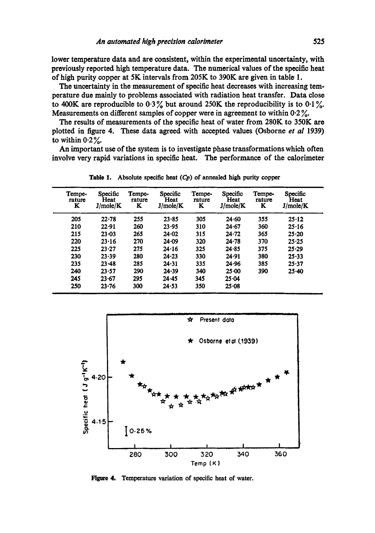lower temperature data and are consistent, within the experimental uncertainty, with previously reported high temperature data. The numerical values of the specific heat of high purity copper at 5K intervals from 205K to 390K are given in table 1.

The uncertainty in the measurement of specific heat decreases with increasing temperature due mainly to problems associated with radiation heat transfer. Data close to 400K are reproducible to  $0.3\%$  but around 250K the reproducibility is to  $0.1\%$ . Measurements on different samples of copper were in agreement to within 0.2%.

The results of measurements of the specific heat of water from 280K to 350K are plotted in figure 4. These data agreed with accepted values (Osborne *et a/* 1939) to within  $0.2\%$ .

An important use of the system is to investigate phase transformations which often involve very rapid variations in specific heat. The performance of the calorimeter

| Tempe-<br>rature<br>K | Specific<br>Heat<br>J/mole/K | Tempe-<br>rature<br>K | Specific<br>Heat<br>J/mole/K | Tempe-<br>rature<br>ĸ | Specific<br>Heat<br>J/mole/K | Tempe-<br>rature<br>K | Specific<br>Heat<br>J/mole/K |
|-----------------------|------------------------------|-----------------------|------------------------------|-----------------------|------------------------------|-----------------------|------------------------------|
| 205                   | 22.78                        | 255                   | 23.85                        | 305                   | 24.60                        | 355                   | 25.12                        |
| 210                   | 22.91                        | 260                   | 23.95                        | 310                   | 24.67                        | 360                   | 25.16                        |
| 215                   | $23 - 03$                    | 265                   | $24 - 02$                    | 315                   | 24.72                        | 365                   | 25.20                        |
| 220                   | 23.16                        | 270                   | $24 - 09$                    | 320                   | 24.78                        | 370                   | 25.25                        |
| 225                   | 23.27                        | 275                   | 24.16                        | 325                   | 24.85                        | 375                   | 25.29                        |
| 230                   | $23 - 39$                    | 280                   | 24.23                        | 330                   | 24.91                        | 380                   | $25 - 33$                    |
| 235                   | $23 - 48$                    | 285                   | 24.31                        | 335                   | 24.96                        | 385                   | 25.37                        |
| 240                   | 23.57                        | 290                   | 24.39                        | 340                   | $25 - 00$                    | 390                   | $25 - 40$                    |
| 245                   | 23.67                        | 295                   | 24.45                        | 345                   | 25.04                        |                       |                              |
| 250                   | $23 - 76$                    | 300                   | 24.53                        | 350                   | 25.08                        |                       |                              |

**Table** 1. Absolute specific heat *(Cp)* of annealed high purity copper



Figure 4. Temperature variation of specific heat of water.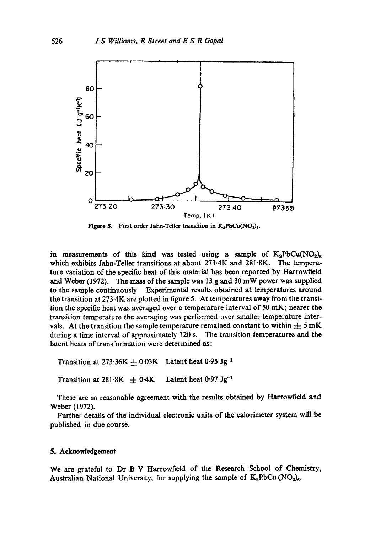

**Figure 5.** First order Jahn-Teller transition in  $K_3PbCu(NO_2)_6$ .

in measurements of this kind was tested using a sample of  $K_2PbCu(NO_2)_s$ which exhibits Jahn-Teller transitions at about 273.4K and 281.8K. The temperature variation of the specific heat of this material has been reported by Harrowfield and Weber (1972). The mass of the sample was 13 g and 30 mW power was supplied to the sample continuously. Experimental results obtained at temperatures around the transition at  $273.4K$  are plotted in figure 5. At temperatures away from the transition the specific heat was averaged over a temperature interval of 50 mK; nearer the transition temperature the averaging was performed over smaller temperature intervals. At the transition the sample temperature remained constant to within  $\pm 5 \text{ mK}$ during a time interval of approximately 120 s. The transition temperatures and the latent heats of transformation were determined as:

Transition at 273.36K  $\pm$  0.03K Latent heat 0.95 Jg<sup>-1</sup>

Transition at 281.8K  $\pm$  0.4K Latent heat 0.97 Jg<sup>-1</sup>

These are in reasonable agreement with the results obtained by Harrowfield and Weber (1972).

Further details of the individual electronic units of the calorimeter system will be published in due course.

## **5. Acknowledgement**

We are grateful to Dr B V Harrowfield of the Research School of Chemistry, Australian National University, for supplying the sample of  $K_2PbCu (NO_2)_6$ .